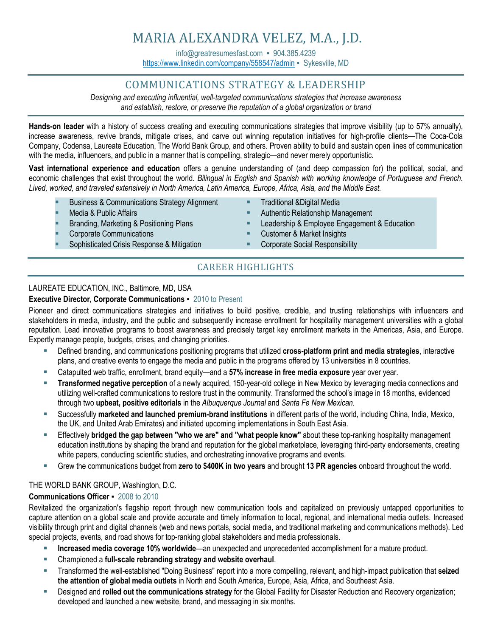info@greatresumesfast.com = 904.385.4239 <https://www.linkedin.com/company/558547/admin> · Sykesville, MD

# COMMUNICATIONS STRATEGY & LEADERSHIP

*Designing and executing influential, well-targeted communications strategies that increase awareness and establish, restore, or preserve the reputation of a global organization or brand*

**Hands-on leader** with a history of success creating and executing communications strategies that improve visibility (up to 57% annually), increase awareness, revive brands, mitigate crises, and carve out winning reputation initiatives for high-profile clients—The Coca-Cola Company, Codensa, Laureate Education, The World Bank Group, and others. Proven ability to build and sustain open lines of communication with the media, influencers, and public in a manner that is compelling, strategic—and never merely opportunistic.

**Vast international experience and education** offers a genuine understanding of (and deep compassion for) the political, social, and economic challenges that exist throughout the world. *Bilingual in English and Spanish with working knowledge of Portuguese and French. Lived, worked, and traveled extensively in North America, Latin America, Europe, Africa, Asia, and the Middle East.*

- **Business & Communications Strategy Alignment**
- Media & Public Affairs
- Branding, Marketing & Positioning Plans
- **Corporate Communications**
- Sophisticated Crisis Response & Mitigation
- **Traditional &Digital Media**
- Authentic Relationship Management
- **Leadership & Employee Engagement & Education**
- **Customer & Market Insights**
- Corporate Social Responsibility

## CAREER HIGHLIGHTS

## LAUREATE EDUCATION, INC., Baltimore, MD, USA

### **Executive Director, Corporate Communications ▪** 2010 to Present

Pioneer and direct communications strategies and initiatives to build positive, credible, and trusting relationships with influencers and stakeholders in media, industry, and the public and subsequently increase enrollment for hospitality management universities with a global reputation. Lead innovative programs to boost awareness and precisely target key enrollment markets in the Americas, Asia, and Europe. Expertly manage people, budgets, crises, and changing priorities.

- Defined branding, and communications positioning programs that utilized **cross-platform print and media strategies**, interactive plans, and creative events to engage the media and public in the programs offered by 13 universities in 8 countries.
- Catapulted web traffic, enrollment, brand equity—and a 57% increase in free media exposure year over year.
- **Transformed negative perception** of a newly acquired, 150-year-old college in New Mexico by leveraging media connections and utilizing well-crafted communications to restore trust in the community. Transformed the school's image in 18 months, evidenced through two **upbeat, positive editorials** in the *Albuquerque Journal* and *Santa Fe New Mexican*.
- Successfully **marketed and launched premium-brand institutions** in different parts of the world, including China, India, Mexico, the UK, and United Arab Emirates) and initiated upcoming implementations in South East Asia.
- Effectively **bridged the gap between "who we are" and "what people know"** about these top-ranking hospitality management education institutions by shaping the brand and reputation for the global marketplace, leveraging third-party endorsements, creating white papers, conducting scientific studies, and orchestrating innovative programs and events.
- Grew the communications budget from **zero to \$400K in two years** and brought **13 PR agencies** onboard throughout the world.

## THE WORLD BANK GROUP, Washington, D.C.

#### **Communications Officer ▪** 2008 to 2010

Revitalized the organization's flagship report through new communication tools and capitalized on previously untapped opportunities to capture attention on a global scale and provide accurate and timely information to local, regional, and international media outlets. Increased visibility through print and digital channels (web and news portals, social media, and traditional marketing and communications methods). Led special projects, events, and road shows for top-ranking global stakeholders and media professionals.

- **Increased media coverage 10% worldwide—an unexpected and unprecedented accomplishment for a mature product.**
- Championed a **full-scale rebranding strategy and website overhaul**.
- Transformed the well-established "Doing Business" report into a more compelling, relevant, and high-impact publication that **seized the attention of global media outlets** in North and South America, Europe, Asia, Africa, and Southeast Asia.
- Designed and **rolled out the communications strategy** for the Global Facility for Disaster Reduction and Recovery organization; developed and launched a new website, brand, and messaging in six months.